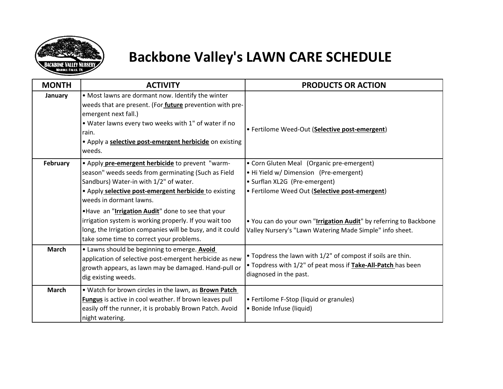

## **Backbone Valley's LAWN CARE SCHEDULE**

| <b>MONTH</b> | <b>ACTIVITY</b>                                                                                                                                                                                                                                                             | <b>PRODUCTS OR ACTION</b>                                                                                                                                              |
|--------------|-----------------------------------------------------------------------------------------------------------------------------------------------------------------------------------------------------------------------------------------------------------------------------|------------------------------------------------------------------------------------------------------------------------------------------------------------------------|
| January      | • Most lawns are dormant now. Identify the winter<br>weeds that are present. (For future prevention with pre-<br>emergent next fall.)<br>. Water lawns every two weeks with 1" of water if no<br>rain.<br>• Apply a selective post-emergent herbicide on existing<br>weeds. | • Fertilome Weed-Out (Selective post-emergent)                                                                                                                         |
| February     | . Apply pre-emergent herbicide to prevent "warm-<br>season" weeds seeds from germinating (Such as Field<br>Sandburs) Water-in with 1/2" of water.<br>. Apply selective post-emergent herbicide to existing<br>weeds in dormant lawns.                                       | • Corn Gluten Meal (Organic pre-emergent)<br>• Hi Yield w/ Dimension (Pre-emergent)<br>• Surflan XL2G (Pre-emergent)<br>• Fertilome Weed Out (Selective post-emergent) |
|              | .Have an "Irrigation Audit" done to see that your<br>irrigation system is working properly. If you wait too<br>long, the Irrigation companies will be busy, and it could<br>take some time to correct your problems.                                                        | . You can do your own "Irrigation Audit" by referring to Backbone<br>Valley Nursery's "Lawn Watering Made Simple" info sheet.                                          |
| <b>March</b> | . Lawns should be beginning to emerge. Avoid<br>application of selective post-emergent herbicide as new<br>growth appears, as lawn may be damaged. Hand-pull or<br>dig existing weeds.                                                                                      | • Topdress the lawn with 1/2" of compost if soils are thin.<br>. Topdress with 1/2" of peat moss if <b>Take-All-Patch</b> has been<br>diagnosed in the past.           |
| <b>March</b> | . Watch for brown circles in the lawn, as Brown Patch<br>Fungus is active in cool weather. If brown leaves pull<br>easily off the runner, it is probably Brown Patch. Avoid<br>night watering.                                                                              | • Fertilome F-Stop (liquid or granules)<br>• Bonide Infuse (liquid)                                                                                                    |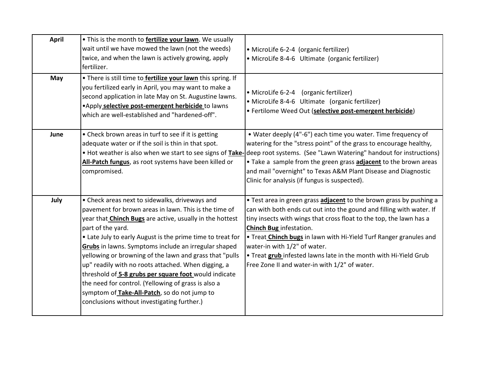| <b>April</b> | . This is the month to fertilize your lawn. We usually<br>wait until we have mowed the lawn (not the weeds)<br>twice, and when the lawn is actively growing, apply<br>fertilizer.                                                                                                                                                                                                                                                                                                                                                                                                                                                                      | • MicroLife 6-2-4 (organic fertilizer)<br>• MicroLife 8-4-6 Ultimate (organic fertilizer)                                                                                                                                                                                                                                                                                                                                                                                       |
|--------------|--------------------------------------------------------------------------------------------------------------------------------------------------------------------------------------------------------------------------------------------------------------------------------------------------------------------------------------------------------------------------------------------------------------------------------------------------------------------------------------------------------------------------------------------------------------------------------------------------------------------------------------------------------|---------------------------------------------------------------------------------------------------------------------------------------------------------------------------------------------------------------------------------------------------------------------------------------------------------------------------------------------------------------------------------------------------------------------------------------------------------------------------------|
| May          | . There is still time to <b>fertilize your lawn</b> this spring. If<br>you fertilized early in April, you may want to make a<br>second application in late May on St. Augustine lawns.<br>. Apply selective post-emergent herbicide to lawns<br>which are well-established and "hardened-off".                                                                                                                                                                                                                                                                                                                                                         | • MicroLife 6-2-4 (organic fertilizer)<br>• MicroLife 8-4-6 Ultimate (organic fertilizer)<br>· Fertilome Weed Out (selective post-emergent herbicide)                                                                                                                                                                                                                                                                                                                           |
| June         | • Check brown areas in turf to see if it is getting<br>adequate water or if the soil is thin in that spot.<br>All-Patch fungus, as root systems have been killed or<br>compromised.                                                                                                                                                                                                                                                                                                                                                                                                                                                                    | . Water deeply (4"-6") each time you water. Time frequency of<br>watering for the "stress point" of the grass to encourage healthy,<br>• Hot weather is also when we start to see signs of <b>Take-</b> deep root systems. (See "Lawn Watering" handout for instructions)<br>. Take a sample from the green grass <b>adjacent</b> to the brown areas<br>and mail "overnight" to Texas A&M Plant Disease and Diagnostic<br>Clinic for analysis (if fungus is suspected).         |
| July         | • Check areas next to sidewalks, driveways and<br>pavement for brown areas in lawn. This is the time of<br>year that <b>Chinch Bugs</b> are active, usually in the hottest<br>part of the yard.<br>• Late July to early August is the prime time to treat for<br>Grubs in lawns. Symptoms include an irregular shaped<br>yellowing or browning of the lawn and grass that "pulls<br>up" readily with no roots attached. When digging, a<br>threshold of 5-8 grubs per square foot would indicate<br>the need for control. (Yellowing of grass is also a<br>symptom of Take-All-Patch, so do not jump to<br>conclusions without investigating further.) | • Test area in green grass adjacent to the brown grass by pushing a<br>can with both ends cut out into the gound and filling with water. If<br>tiny insects with wings that cross float to the top, the lawn has a<br>Chinch Bug infestation.<br>. Treat <b>Chinch bugs</b> in lawn with Hi-Yield Turf Ranger granules and<br>water-in with 1/2" of water.<br>. Treat grub infested lawns late in the month with Hi-Yield Grub<br>Free Zone II and water-in with 1/2" of water. |